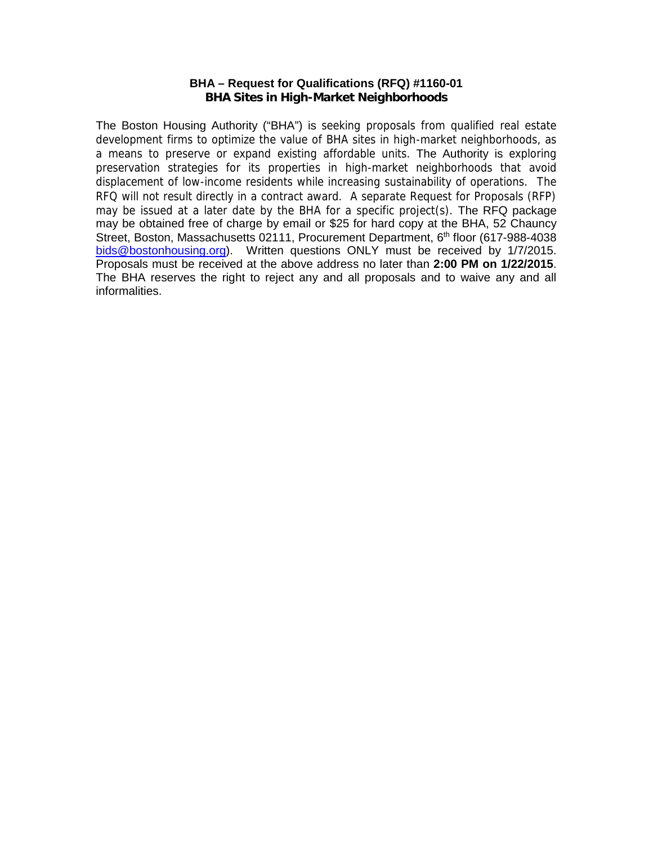### **BHA – Request for Qualifications (RFQ) #1160-01**

**BHA Sites in High-Market Neighborhoods**

The Boston Housing Authority ("BHA") is seeking proposals from qualified real estate development firms to optimize the value of BHA sites in high-market neighborhoods, as a means to preserve or expand existing affordable units. The Authority is exploring preservation strategies for its properties in high-market neighborhoods that avoid displacement of low-income residents while increasing sustainability of operations. The RFQ will not result directly in a contract award. A separate Request for Proposals (RFP) may be issued at a later date by the BHA for a specific project(s). The RFQ package may be obtained free of charge by email or \$25 for hard copy at the BHA, 52 Chauncy Street, Boston, Massachusetts 02111, Procurement Department, 6<sup>th</sup> floor (617-988-4038 bids@bostonhousing.org). Written questions ONLY must be received by 1/7/2015. Proposals must be received at the above address no later than **2:00 PM on 1/22/2015**. The BHA reserves the right to reject any and all proposals and to waive any and all informalities.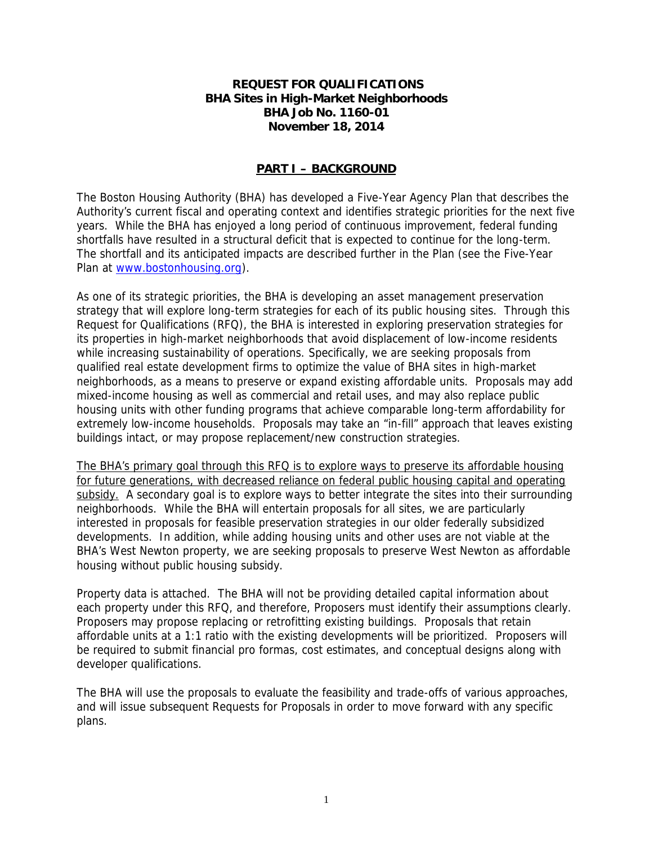**REQUEST FOR QUALIFICATIONS BHA Sites in High-Market Neighborhoods BHA Job No. 1160-01 November 18, 2014**

## **PART I – BACKGROUND**

The Boston Housing Authority (BHA) has developed a Five-Year Agency Plan that describes the Authority's current fiscal and operating context and identifies strategic priorities for the next five years. While the BHA has enjoyed a long period of continuous improvement, federal funding shortfalls have resulted in a structural deficit that is expected to continue for the long-term. The shortfall and its anticipated impacts are described further in the Plan (see the Five-Year Plan at www.bostonhousing.org).

As one of its strategic priorities, the BHA is developing an asset management preservation strategy that will explore long-term strategies for each of its public housing sites. Through this Request for Qualifications (RFQ), the BHA is interested in exploring preservation strategies for its properties in high-market neighborhoods that avoid displacement of low-income residents while increasing sustainability of operations. Specifically, we are seeking proposals from qualified real estate development firms to optimize the value of BHA sites in high-market neighborhoods, as a means to preserve or expand existing affordable units. Proposals may add mixed-income housing as well as commercial and retail uses, and may also replace public housing units with other funding programs that achieve comparable long-term affordability for extremely low-income households. Proposals may take an "in-fill" approach that leaves existing buildings intact, or may propose replacement/new construction strategies.

The BHA's primary goal through this RFQ is to explore ways to preserve its affordable housing for future generations, with decreased reliance on federal public housing capital and operating subsidy. A secondary goal is to explore ways to better integrate the sites into their surrounding neighborhoods. While the BHA will entertain proposals for all sites, we are particularly interested in proposals for feasible preservation strategies in our older federally subsidized developments. In addition, while adding housing units and other uses are not viable at the BHA's West Newton property, we are seeking proposals to preserve West Newton as affordable housing without public housing subsidy.

Property data is attached. The BHA will not be providing detailed capital information about each property under this RFQ, and therefore, Proposers must identify their assumptions clearly. Proposers may propose replacing or retrofitting existing buildings. Proposals that retain affordable units at a 1:1 ratio with the existing developments will be prioritized. Proposers will be required to submit financial pro formas, cost estimates, and conceptual designs along with developer qualifications.

The BHA will use the proposals to evaluate the feasibility and trade-offs of various approaches, and will issue subsequent Requests for Proposals in order to move forward with any specific plans.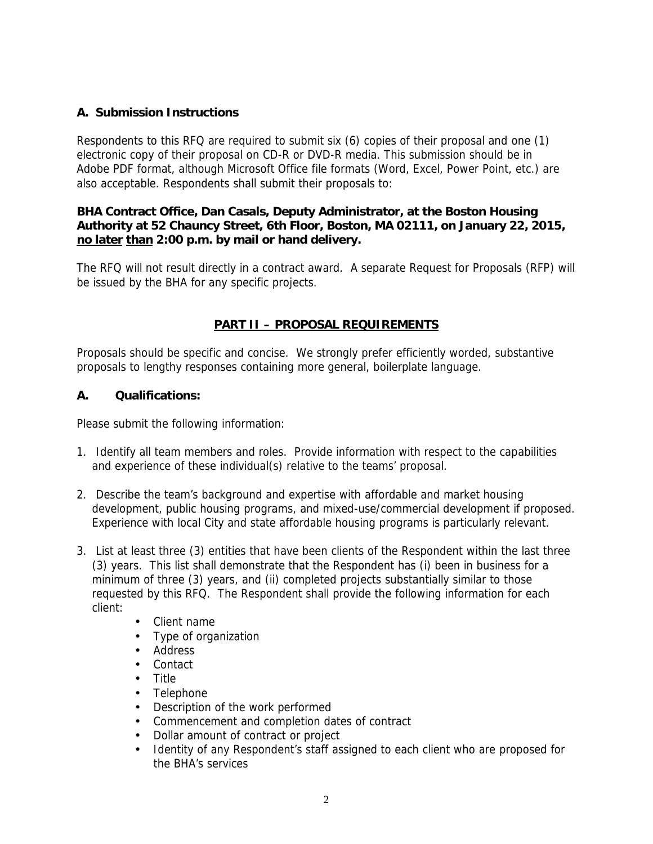## **A. Submission Instructions**

Respondents to this RFQ are required to submit six (6) copies of their proposal and one (1) electronic copy of their proposal on CD-R or DVD-R media. This submission should be in Adobe PDF format, although Microsoft Office file formats (Word, Excel, Power Point, etc.) are also acceptable. Respondents shall submit their proposals to:

**BHA Contract Office, Dan Casals, Deputy Administrator, at the Boston Housing Authority at 52 Chauncy Street, 6th Floor, Boston, MA 02111, on January 22, 2015, no later than 2:00 p.m. by mail or hand delivery.**

The RFQ will not result directly in a contract award. A separate Request for Proposals (RFP) will be issued by the BHA for any specific projects.

# **PART II – PROPOSAL REQUIREMENTS**

Proposals should be specific and concise. We strongly prefer efficiently worded, substantive proposals to lengthy responses containing more general, boilerplate language.

**A. Qualifications:**

Please submit the following information:

- 1. Identify all team members and roles. Provide information with respect to the capabilities and experience of these individual(s) relative to the teams' proposal.
- 2. Describe the team's background and expertise with affordable and market housing development, public housing programs, and mixed-use/commercial development if proposed. Experience with local City and state affordable housing programs is particularly relevant.
- 3. List at least three (3) entities that have been clients of the Respondent within the last three (3) years. This list shall demonstrate that the Respondent has (i) been in business for a minimum of three (3) years, and (ii) completed projects substantially similar to those requested by this RFQ. The Respondent shall provide the following information for each client:
	- Client name
	- Type of organization
	- Address
	- Contact
	- Title
	- Telephone
	- Description of the work performed
	- Commencement and completion dates of contract
	- Dollar amount of contract or project
	- Identity of any Respondent's staff assigned to each client who are proposed for the BHA's services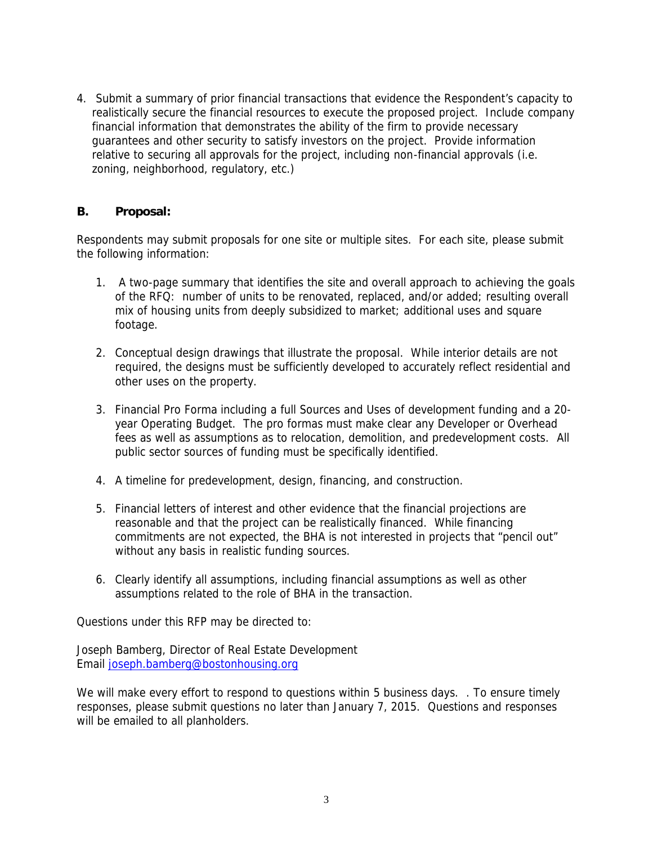4. Submit a summary of prior financial transactions that evidence the Respondent's capacity to realistically secure the financial resources to execute the proposed project. Include company financial information that demonstrates the ability of the firm to provide necessary guarantees and other security to satisfy investors on the project. Provide information relative to securing all approvals for the project, including non-financial approvals (i.e. zoning, neighborhood, regulatory, etc.)

### **B. Proposal:**

Respondents may submit proposals for one site or multiple sites. For each site, please submit the following information:

- 1. A two-page summary that identifies the site and overall approach to achieving the goals of the RFQ: number of units to be renovated, replaced, and/or added; resulting overall mix of housing units from deeply subsidized to market; additional uses and square footage.
- 2. Conceptual design drawings that illustrate the proposal. While interior details are not required, the designs must be sufficiently developed to accurately reflect residential and other uses on the property.
- 3. Financial Pro Forma including a full Sources and Uses of development funding and a 20 year Operating Budget. The pro formas must make clear any Developer or Overhead fees as well as assumptions as to relocation, demolition, and predevelopment costs. All public sector sources of funding must be specifically identified.
- 4. A timeline for predevelopment, design, financing, and construction.
- 5. Financial letters of interest and other evidence that the financial projections are reasonable and that the project can be realistically financed. While financing commitments are not expected, the BHA is not interested in projects that "pencil out" without any basis in realistic funding sources.
- 6. Clearly identify all assumptions, including financial assumptions as well as other assumptions related to the role of BHA in the transaction.

Questions under this RFP may be directed to:

Joseph Bamberg, Director of Real Estate Development Email joseph.bamberg@bostonhousing.org

We will make every effort to respond to questions within 5 business days. . To ensure timely responses, please submit questions no later than January 7, 2015. Questions and responses will be emailed to all planholders.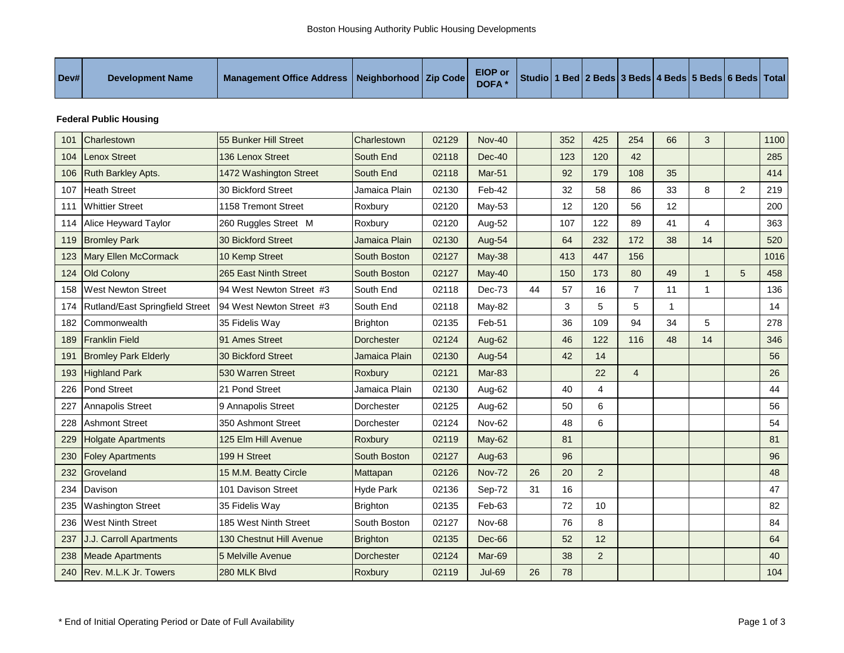### **Federal Public Housing**

| 101 | Charlestown                     | 55 Bunker Hill Street     | Charlestown       | 02129 | <b>Nov-40</b> |    | 352 | 425            | 254            | 66 | 3            |                | 1100 |
|-----|---------------------------------|---------------------------|-------------------|-------|---------------|----|-----|----------------|----------------|----|--------------|----------------|------|
| 104 | <b>Lenox Street</b>             | 136 Lenox Street          | South End         | 02118 | $Dec-40$      |    | 123 | 120            | 42             |    |              |                | 285  |
| 106 | <b>Ruth Barkley Apts.</b>       | 1472 Washington Street    | South End         | 02118 | <b>Mar-51</b> |    | 92  | 179            | 108            | 35 |              |                | 414  |
| 107 | <b>Heath Street</b>             | 30 Bickford Street        | Jamaica Plain     | 02130 | Feb-42        |    | 32  | 58             | 86             | 33 | 8            | $\overline{2}$ | 219  |
| 111 | <b>Whittier Street</b>          | 1158 Tremont Street       | Roxbury           | 02120 | May-53        |    | 12  | 120            | 56             | 12 |              |                | 200  |
| 114 | Alice Heyward Taylor            | 260 Ruggles Street M      | Roxbury           | 02120 | Aug-52        |    | 107 | 122            | 89             | 41 | 4            |                | 363  |
| 119 | <b>Bromley Park</b>             | <b>30 Bickford Street</b> | Jamaica Plain     | 02130 | Aug-54        |    | 64  | 232            | 172            | 38 | 14           |                | 520  |
| 123 | <b>Mary Ellen McCormack</b>     | 10 Kemp Street            | South Boston      | 02127 | May-38        |    | 413 | 447            | 156            |    |              |                | 1016 |
| 124 | Old Colony                      | 265 East Ninth Street     | South Boston      | 02127 | May-40        |    | 150 | 173            | 80             | 49 | $\mathbf{1}$ | 5              | 458  |
| 158 | <b>West Newton Street</b>       | 94 West Newton Street #3  | South End         | 02118 | Dec-73        | 44 | 57  | 16             | $\overline{7}$ | 11 | $\mathbf{1}$ |                | 136  |
| 174 | Rutland/East Springfield Street | 94 West Newton Street #3  | South End         | 02118 | May-82        |    | 3   | 5              | 5              | 1  |              |                | 14   |
| 182 | Commonwealth                    | 35 Fidelis Way            | Brighton          | 02135 | Feb-51        |    | 36  | 109            | 94             | 34 | 5            |                | 278  |
| 189 | <b>Franklin Field</b>           | 91 Ames Street            | <b>Dorchester</b> | 02124 | Aug-62        |    | 46  | 122            | 116            | 48 | 14           |                | 346  |
| 191 | <b>Bromley Park Elderly</b>     | 30 Bickford Street        | Jamaica Plain     | 02130 | Aug-54        |    | 42  | 14             |                |    |              |                | 56   |
| 193 | <b>Highland Park</b>            | 530 Warren Street         | Roxbury           | 02121 | $Mar-83$      |    |     | 22             | $\overline{4}$ |    |              |                | 26   |
| 226 | Pond Street                     | 21 Pond Street            | Jamaica Plain     | 02130 | Aug-62        |    | 40  | $\overline{4}$ |                |    |              |                | 44   |
| 227 | Annapolis Street                | 9 Annapolis Street        | Dorchester        | 02125 | Aug-62        |    | 50  | 6              |                |    |              |                | 56   |
| 228 | <b>Ashmont Street</b>           | 350 Ashmont Street        | Dorchester        | 02124 | Nov-62        |    | 48  | 6              |                |    |              |                | 54   |
| 229 | <b>Holgate Apartments</b>       | 125 Elm Hill Avenue       | Roxbury           | 02119 | May-62        |    | 81  |                |                |    |              |                | 81   |
| 230 | <b>Foley Apartments</b>         | 199 H Street              | South Boston      | 02127 | Aug-63        |    | 96  |                |                |    |              |                | 96   |
| 232 | Groveland                       | 15 M.M. Beatty Circle     | Mattapan          | 02126 | <b>Nov-72</b> | 26 | 20  | 2              |                |    |              |                | 48   |
| 234 | Davison                         | 101 Davison Street        | <b>Hyde Park</b>  | 02136 | Sep-72        | 31 | 16  |                |                |    |              |                | 47   |
| 235 | <b>Washington Street</b>        | 35 Fidelis Way            | <b>Brighton</b>   | 02135 | Feb-63        |    | 72  | 10             |                |    |              |                | 82   |
| 236 | <b>West Ninth Street</b>        | 185 West Ninth Street     | South Boston      | 02127 | Nov-68        |    | 76  | 8              |                |    |              |                | 84   |
| 237 | J.J. Carroll Apartments         | 130 Chestnut Hill Avenue  | <b>Brighton</b>   | 02135 | <b>Dec-66</b> |    | 52  | 12             |                |    |              |                | 64   |
| 238 | <b>Meade Apartments</b>         | 5 Melville Avenue         | <b>Dorchester</b> | 02124 | Mar-69        |    | 38  | 2              |                |    |              |                | 40   |
| 240 | Rev. M.L.K Jr. Towers           | 280 MLK Blvd              | Roxbury           | 02119 | <b>Jul-69</b> | 26 | 78  |                |                |    |              |                | 104  |
|     |                                 |                           |                   |       |               |    |     |                |                |    |              |                |      |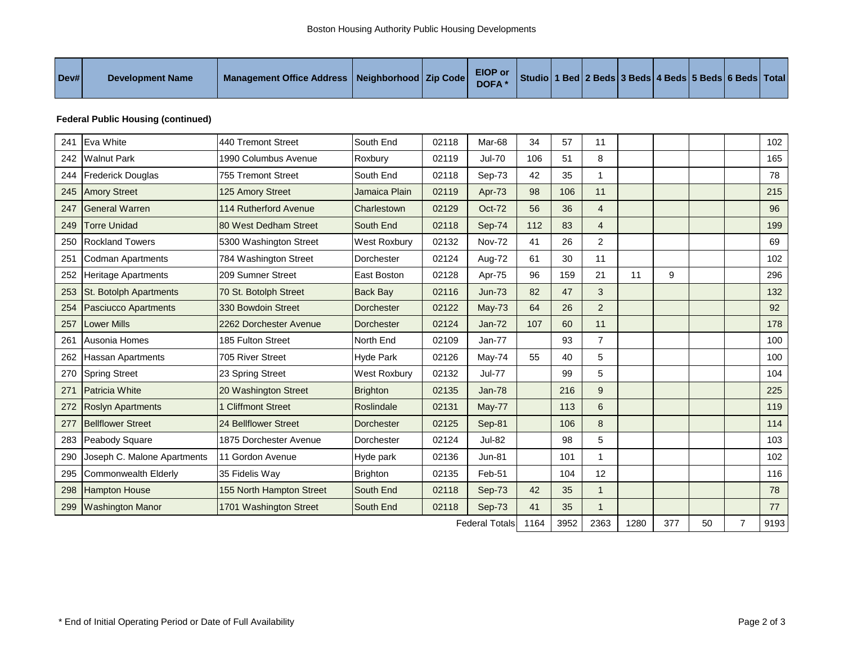### **Federal Public Housing (continued)**

| 241 | Eva White                     | 440 Tremont Street       | South End         | 02118 | Mar-68                | 34   | 57   | 11             |      |     |    |                | 102  |
|-----|-------------------------------|--------------------------|-------------------|-------|-----------------------|------|------|----------------|------|-----|----|----------------|------|
| 242 | <b>Walnut Park</b>            | 1990 Columbus Avenue     | Roxbury           | 02119 | <b>Jul-70</b>         | 106  | 51   | 8              |      |     |    |                | 165  |
| 244 | <b>Frederick Douglas</b>      | 755 Tremont Street       | South End         | 02118 | Sep-73                | 42   | 35   | 1              |      |     |    |                | 78   |
| 245 | <b>Amory Street</b>           | 125 Amory Street         | Jamaica Plain     | 02119 | Apr-73                | 98   | 106  | 11             |      |     |    |                | 215  |
| 247 | <b>General Warren</b>         | 114 Rutherford Avenue    | Charlestown       | 02129 | Oct-72                | 56   | 36   | $\overline{4}$ |      |     |    |                | 96   |
| 249 | <b>Torre Unidad</b>           | 80 West Dedham Street    | South End         | 02118 | Sep-74                | 112  | 83   | $\overline{4}$ |      |     |    |                | 199  |
| 250 | <b>Rockland Towers</b>        | 5300 Washington Street   | West Roxbury      | 02132 | <b>Nov-72</b>         | 41   | 26   | $\overline{2}$ |      |     |    |                | 69   |
| 251 | Codman Apartments             | 784 Washington Street    | Dorchester        | 02124 | Aug-72                | 61   | 30   | 11             |      |     |    |                | 102  |
| 252 | <b>Heritage Apartments</b>    | 209 Sumner Street        | East Boston       | 02128 | Apr-75                | 96   | 159  | 21             | 11   | 9   |    |                | 296  |
| 253 | <b>St. Botolph Apartments</b> | 70 St. Botolph Street    | <b>Back Bay</b>   | 02116 | $Jun-73$              | 82   | 47   | 3              |      |     |    |                | 132  |
| 254 | Pasciucco Apartments          | 330 Bowdoin Street       | <b>Dorchester</b> | 02122 | <b>May-73</b>         | 64   | 26   | $\overline{2}$ |      |     |    |                | 92   |
| 257 | <b>Lower Mills</b>            | 2262 Dorchester Avenue   | <b>Dorchester</b> | 02124 | $Jan-72$              | 107  | 60   | 11             |      |     |    |                | 178  |
| 261 | Ausonia Homes                 | 185 Fulton Street        | North End         | 02109 | Jan-77                |      | 93   | $\overline{7}$ |      |     |    |                | 100  |
| 262 | <b>Hassan Apartments</b>      | 705 River Street         | <b>Hyde Park</b>  | 02126 | May-74                | 55   | 40   | 5              |      |     |    |                | 100  |
| 270 | <b>Spring Street</b>          | 23 Spring Street         | West Roxbury      | 02132 | <b>Jul-77</b>         |      | 99   | 5              |      |     |    |                | 104  |
| 271 | <b>Patricia White</b>         | 20 Washington Street     | <b>Brighton</b>   | 02135 | <b>Jan-78</b>         |      | 216  | 9              |      |     |    |                | 225  |
| 272 | <b>Roslyn Apartments</b>      | <b>Cliffmont Street</b>  | Roslindale        | 02131 | <b>May-77</b>         |      | 113  | 6              |      |     |    |                | 119  |
| 277 | <b>Bellflower Street</b>      | 24 Bellflower Street     | <b>Dorchester</b> | 02125 | Sep-81                |      | 106  | 8              |      |     |    |                | 114  |
| 283 | Peabody Square                | 1875 Dorchester Avenue   | Dorchester        | 02124 | <b>Jul-82</b>         |      | 98   | 5              |      |     |    |                | 103  |
| 290 | Joseph C. Malone Apartments   | 11 Gordon Avenue         | Hyde park         | 02136 | <b>Jun-81</b>         |      | 101  | 1              |      |     |    |                | 102  |
| 295 | <b>Commonwealth Elderly</b>   | 35 Fidelis Way           | Brighton          | 02135 | Feb-51                |      | 104  | 12             |      |     |    |                | 116  |
| 298 | <b>Hampton House</b>          | 155 North Hampton Street | South End         | 02118 | Sep-73                | 42   | 35   | $\overline{1}$ |      |     |    |                | 78   |
| 299 | <b>Washington Manor</b>       | 1701 Washington Street   | South End         | 02118 | Sep-73                | 41   | 35   | $\mathbf 1$    |      |     |    |                | 77   |
|     |                               |                          |                   |       | <b>Federal Totals</b> | 1164 | 3952 | 2363           | 1280 | 377 | 50 | $\overline{7}$ | 9193 |